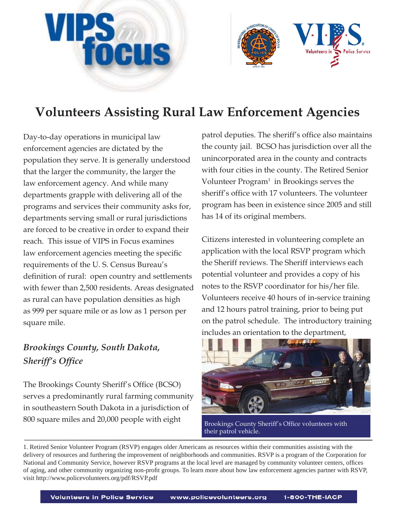



# **Volunteers Assisting Rural Law Enforcement Agencies**

Day-to-day operations in municipal law enforcement agencies are dictated by the population they serve. It is generally understood that the larger the community, the larger the law enforcement agency. And while many departments grapple with delivering all of the programs and services their community asks for, departments serving small or rural jurisdictions are forced to be creative in order to expand their reach. This issue of VIPS in Focus examines law enforcement agencies meeting the specific requirements of the U. S. Census Bureau's definition of rural: open country and settlements with fewer than 2,500 residents. Areas designated as rural can have population densities as high as 999 per square mile or as low as 1 person per square mile.

# *Brookings County, South Dakota, Sheriff's Office*

The Brookings County Sheriff's Office (BCSO) serves a predominantly rural farming community in southeastern South Dakota in a jurisdiction of 800 square miles and 20,000 people with eight

patrol deputies. The sheriff's office also maintains the county jail. BCSO has jurisdiction over all the unincorporated area in the county and contracts with four cities in the county. The Retired Senior Volunteer Program<sup>1</sup> in Brookings serves the sheriff's office with 17 volunteers. The volunteer program has been in existence since 2005 and still has 14 of its original members.

Citizens interested in volunteering complete an application with the local RSVP program which the Sheriff reviews. The Sheriff interviews each potential volunteer and provides a copy of his notes to the RSVP coordinator for his/her file. Volunteers receive 40 hours of in-service training and 12 hours patrol training, prior to being put on the patrol schedule. The introductory training includes an orientation to the department,



Brookings County Sheriff's Office volunteers with their patrol vehicle.

1. Retired Senior Volunteer Program (RSVP) engages older Americans as resources within their communities assisting with the delivery of resources and furthering the improvement of neighborhoods and communities. RSVP is a program of the Corporation for National and Community Service, however RSVP programs at the local level are managed by community volunteer centers, offices of aging, and other community organizing non-profi t groups. To learn more about how law enforcement agencies partner with RSVP, visit http://www.policevolunteers.org/pdf/RSVP.pdf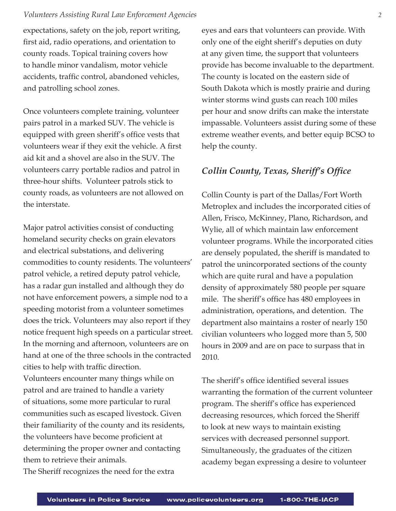#### *Volunteers Assisting Rural Law Enforcement Agencies 2*

expectations, safety on the job, report writing, first aid, radio operations, and orientation to county roads. Topical training covers how to handle minor vandalism, motor vehicle accidents, traffic control, abandoned vehicles, and patrolling school zones.

Once volunteers complete training, volunteer pairs patrol in a marked SUV. The vehicle is equipped with green sheriff's office vests that volunteers wear if they exit the vehicle. A first aid kit and a shovel are also in the SUV. The volunteers carry portable radios and patrol in three-hour shifts. Volunteer patrols stick to county roads, as volunteers are not allowed on the interstate.

Major patrol activities consist of conducting homeland security checks on grain elevators and electrical substations, and delivering commodities to county residents. The volunteers' patrol vehicle, a retired deputy patrol vehicle, has a radar gun installed and although they do not have enforcement powers, a simple nod to a speeding motorist from a volunteer sometimes does the trick. Volunteers may also report if they notice frequent high speeds on a particular street. In the morning and afternoon, volunteers are on hand at one of the three schools in the contracted cities to help with traffic direction.

Volunteers encounter many things while on patrol and are trained to handle a variety of situations, some more particular to rural communities such as escaped livestock. Given their familiarity of the county and its residents, the volunteers have become proficient at determining the proper owner and contacting them to retrieve their animals.

The Sheriff recognizes the need for the extra

eyes and ears that volunteers can provide. With only one of the eight sheriff's deputies on duty at any given time, the support that volunteers provide has become invaluable to the department. The county is located on the eastern side of South Dakota which is mostly prairie and during winter storms wind gusts can reach 100 miles per hour and snow drifts can make the interstate impassable. Volunteers assist during some of these extreme weather events, and better equip BCSO to help the county.

## *Collin County, Texas, Sheriff's Office*

Collin County is part of the Dallas/Fort Worth Metroplex and includes the incorporated cities of Allen, Frisco, McKinney, Plano, Richardson, and Wylie, all of which maintain law enforcement volunteer programs. While the incorporated cities are densely populated, the sheriff is mandated to patrol the unincorporated sections of the county which are quite rural and have a population density of approximately 580 people per square mile. The sheriff's office has 480 employees in administration, operations, and detention. The department also maintains a roster of nearly 150 civilian volunteers who logged more than 5, 500 hours in 2009 and are on pace to surpass that in 2010.

The sheriff's office identified several issues warranting the formation of the current volunteer program. The sheriff's office has experienced decreasing resources, which forced the Sheriff to look at new ways to maintain existing services with decreased personnel support. Simultaneously, the graduates of the citizen academy began expressing a desire to volunteer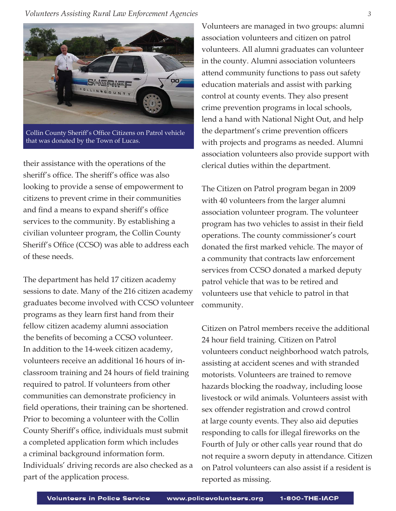*Volunteers Assisting Rural Law Enforcement Agencies 3* 



Collin County Sheriff's Office Citizens on Patrol vehicle that was donated by the Town of Lucas.

their assistance with the operations of the sheriff's office. The sheriff's office was also looking to provide a sense of empowerment to citizens to prevent crime in their communities and find a means to expand sheriff's office services to the community. By establishing a civilian volunteer program, the Collin County Sheriff's Office (CCSO) was able to address each of these needs.

The department has held 17 citizen academy sessions to date. Many of the 216 citizen academy graduates become involved with CCSO volunteer programs as they learn first hand from their fellow citizen academy alumni association the benefits of becoming a CCSO volunteer. In addition to the 14-week citizen academy, volunteers receive an additional 16 hours of inclassroom training and 24 hours of field training required to patrol. If volunteers from other communities can demonstrate proficiency in field operations, their training can be shortened. Prior to becoming a volunteer with the Collin County Sheriff's office, individuals must submit a completed application form which includes a criminal background information form. Individuals' driving records are also checked as a part of the application process.

Volunteers are managed in two groups: alumni association volunteers and citizen on patrol volunteers. All alumni graduates can volunteer in the county. Alumni association volunteers attend community functions to pass out safety education materials and assist with parking control at county events. They also present crime prevention programs in local schools, lend a hand with National Night Out, and help the department's crime prevention officers with projects and programs as needed. Alumni association volunteers also provide support with clerical duties within the department.

The Citizen on Patrol program began in 2009 with 40 volunteers from the larger alumni association volunteer program. The volunteer program has two vehicles to assist in their field operations. The county commissioner's court donated the first marked vehicle. The mayor of a community that contracts law enforcement services from CCSO donated a marked deputy patrol vehicle that was to be retired and volunteers use that vehicle to patrol in that community.

Citizen on Patrol members receive the additional 24 hour field training. Citizen on Patrol volunteers conduct neighborhood watch patrols, assisting at accident scenes and with stranded motorists. Volunteers are trained to remove hazards blocking the roadway, including loose livestock or wild animals. Volunteers assist with sex offender registration and crowd control at large county events. They also aid deputies responding to calls for illegal fireworks on the Fourth of July or other calls year round that do not require a sworn deputy in attendance. Citizen on Patrol volunteers can also assist if a resident is reported as missing.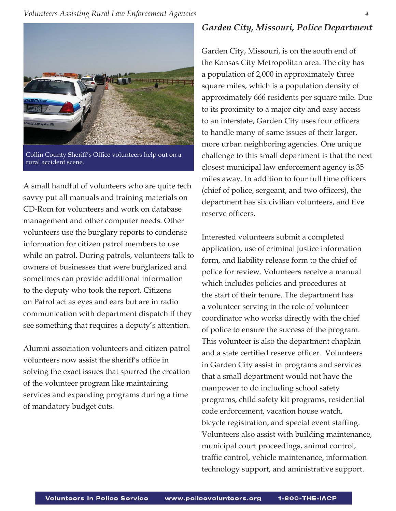

Collin County Sheriff's Office volunteers help out on a rural accident scene.

A small handful of volunteers who are quite tech savvy put all manuals and training materials on CD-Rom for volunteers and work on database management and other computer needs. Other volunteers use the burglary reports to condense information for citizen patrol members to use while on patrol. During patrols, volunteers talk to owners of businesses that were burglarized and sometimes can provide additional information to the deputy who took the report. Citizens on Patrol act as eyes and ears but are in radio communication with department dispatch if they see something that requires a deputy's attention.

Alumni association volunteers and citizen patrol volunteers now assist the sheriff's office in solving the exact issues that spurred the creation of the volunteer program like maintaining services and expanding programs during a time of mandatory budget cuts.

### *Garden City, Missouri, Police Department*

Garden City, Missouri, is on the south end of the Kansas City Metropolitan area. The city has a population of 2,000 in approximately three square miles, which is a population density of approximately 666 residents per square mile. Due to its proximity to a major city and easy access to an interstate, Garden City uses four officers to handle many of same issues of their larger, more urban neighboring agencies. One unique challenge to this small department is that the next closest municipal law enforcement agency is 35 miles away. In addition to four full time officers (chief of police, sergeant, and two officers), the department has six civilian volunteers, and five reserve officers.

Interested volunteers submit a completed application, use of criminal justice information form, and liability release form to the chief of police for review. Volunteers receive a manual which includes policies and procedures at the start of their tenure. The department has a volunteer serving in the role of volunteer coordinator who works directly with the chief of police to ensure the success of the program. This volunteer is also the department chaplain and a state certified reserve officer. Volunteers in Garden City assist in programs and services that a small department would not have the manpower to do including school safety programs, child safety kit programs, residential code enforcement, vacation house watch, bicycle registration, and special event staffing. Volunteers also assist with building maintenance, municipal court proceedings, animal control, traffic control, vehicle maintenance, information technology support, and aministrative support.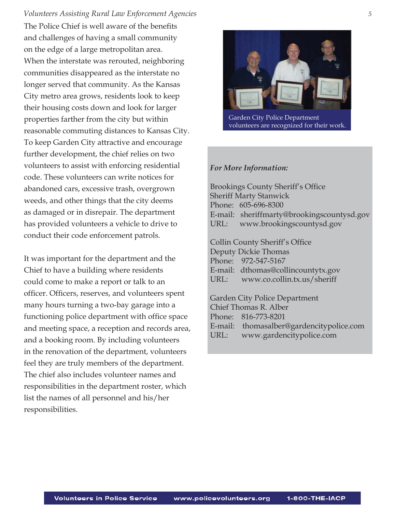The Police Chief is well aware of the benefits and challenges of having a small community on the edge of a large metropolitan area. When the interstate was rerouted, neighboring communities disappeared as the interstate no longer served that community. As the Kansas City metro area grows, residents look to keep their housing costs down and look for larger properties farther from the city but within reasonable commuting distances to Kansas City. To keep Garden City attractive and encourage further development, the chief relies on two volunteers to assist with enforcing residential code. These volunteers can write notices for abandoned cars, excessive trash, overgrown weeds, and other things that the city deems as damaged or in disrepair. The department has provided volunteers a vehicle to drive to conduct their code enforcement patrols. *Volunteers Assisting Rural Law Enforcement Agencies 5*

It was important for the department and the Chief to have a building where residents could come to make a report or talk to an officer. Officers, reserves, and volunteers spent many hours turning a two-bay garage into a functioning police department with office space and meeting space, a reception and records area, and a booking room. By including volunteers in the renovation of the department, volunteers feel they are truly members of the department. The chief also includes volunteer names and responsibilities in the department roster, which list the names of all personnel and his/her responsibilities.



 Garden City Police Department volunteers are recognized for their work.

#### *For More Information:*

Brookings County Sheriff's Office Sheriff Marty Stanwick Phone: 605-696-8300 E-mail: sheriffmarty@brookingscountysd.gov URL: www.brookingscountysd.gov

Collin County Sheriff's Office Deputy Dickie Thomas Phone: 972-547-5167 E-mail: dthomas@collincountytx.gov URL: www.co.collin.tx.us/sheriff

Garden City Police Department Chief Thomas R. Alber Phone: 816-773-8201 E-mail: thomasalber@gardencitypolice.com URL: www.gardencitypolice.com